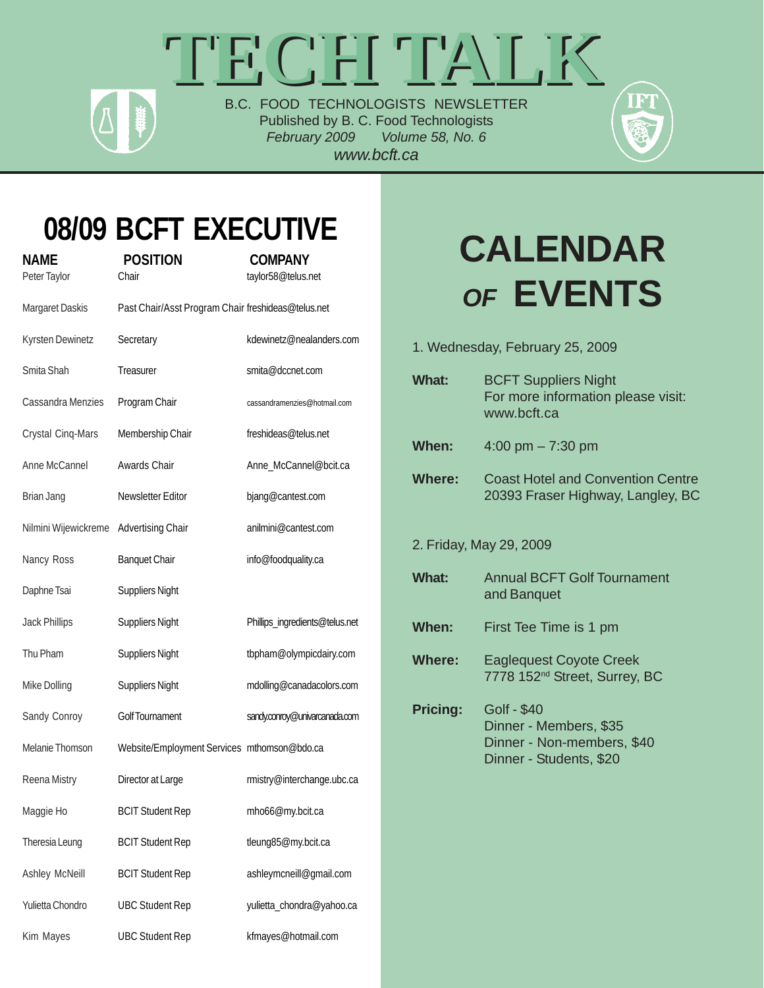# TECH TALK B.C. FOOD TECHNOLOGISTS NEWSLETTER

Published by B. C. Food Technologists *February 2009 Volume 58, No. 6 www.bcft.ca*

### **08/09 BCFT EXECUTIVE NAME POSITION COMPANY**

| IVAIVIL<br>Peter Taylor | ווטו וכט ז<br>Chair                                | <b>UUINIF AIN I</b><br>taylor58@telus.net |
|-------------------------|----------------------------------------------------|-------------------------------------------|
| Margaret Daskis         | Past Chair/Asst Program Chair freshideas@telus.net |                                           |
| Kyrsten Dewinetz        | Secretary                                          | kdewinetz@nealanders.com                  |
| Smita Shah              | Treasurer                                          | smita@dccnet.com                          |
| Cassandra Menzies       | Program Chair                                      | cassandramenzies@hotmail.com              |
| Crystal Cinq-Mars       | Membership Chair                                   | freshideas@telus.net                      |
| Anne McCannel           | Awards Chair                                       | Anne_McCannel@bcit.ca                     |
| Brian Jang              | Newsletter Editor                                  | bjang@cantest.com                         |
| Nilmini Wijewickreme    | <b>Advertising Chair</b>                           | anilmini@cantest.com                      |
| Nancy Ross              | <b>Banquet Chair</b>                               | info@foodquality.ca                       |
| Daphne Tsai             | <b>Suppliers Night</b>                             |                                           |
| <b>Jack Phillips</b>    | <b>Suppliers Night</b>                             | Phillips_ingredients@telus.net            |
| Thu Pham                | <b>Suppliers Night</b>                             | tbpham@olympicdairy.com                   |
| Mike Dolling            | <b>Suppliers Night</b>                             | mdolling@canadacolors.com                 |
| Sandy Conroy            | <b>Golf Tournament</b>                             | sandy.conroy@univarcanada.com             |
| Melanie Thomson         | Website/Employment Services mthomson@bdo.ca        |                                           |
| Reena Mistry            | Director at Large                                  | rmistry@interchange.ubc.ca                |
| Maggie Ho               | <b>BCIT Student Rep</b>                            | mho66@my.bcit.ca                          |
| Theresia Leung          | <b>BCIT Student Rep</b>                            | tleung85@my.bcit.ca                       |
| Ashley McNeill          | <b>BCIT Student Rep</b>                            | ashleymcneill@gmail.com                   |
| Yulietta Chondro        | <b>UBC Student Rep</b>                             | yulietta_chondra@yahoo.ca                 |
| Kim Mayes               | <b>UBC Student Rep</b>                             | kfmayes@hotmail.com                       |

# **CALENDAR** *OF* **EVENTS**

1. Wednesday, February 25, 2009 **What:** BCFT Suppliers Night For more information please visit: www.bcft.ca **When:** 4:00 pm – 7:30 pm **Where:** Coast Hotel and Convention Centre 20393 Fraser Highway, Langley, BC 2. Friday, May 29, 2009 **What:** Annual BCFT Golf Tournament and Banquet **When:** First Tee Time is 1 pm **Where:** Eaglequest Coyote Creek 7778 152nd Street, Surrey, BC **Pricing:** Golf - \$40 Dinner - Members, \$35 Dinner - Non-members, \$40 Dinner - Students, \$20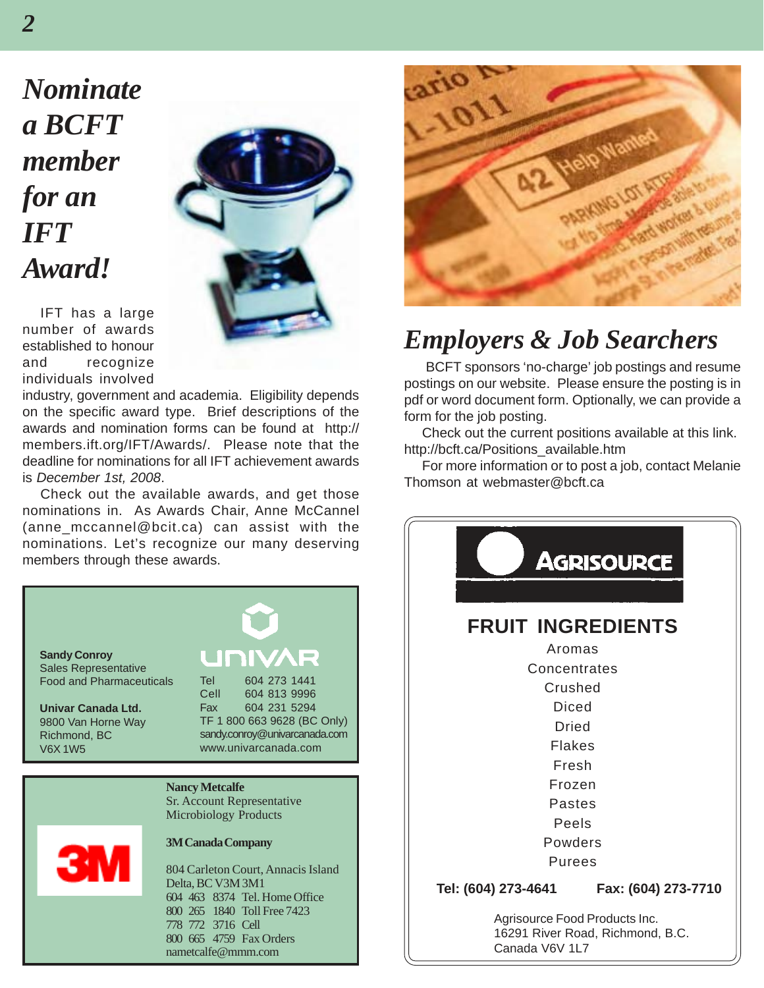*Nominate a BCFT member for an IFT Award!*



IFT has a large number of awards established to honour and recognize individuals involved

industry, government and academia. Eligibility depends on the specific award type. Brief descriptions of the awards and nomination forms can be found at http:// members.ift.org/IFT/Awards/. Please note that the deadline for nominations for all IFT achievement awards is *December 1st, 2008*.

Check out the available awards, and get those nominations in. As Awards Chair, Anne McCannel (anne\_mccannel@bcit.ca) can assist with the nominations. Let's recognize our many deserving members through these awards.





### *Employers & Job Searchers*

 BCFT sponsors 'no-charge' job postings and resume postings on our website. Please ensure the posting is in pdf or word document form. Optionally, we can provide a form for the job posting.

Check out the current positions available at this link. http://bcft.ca/Positions\_available.htm

For more information or to post a job, contact Melanie Thomson at webmaster@bcft.ca

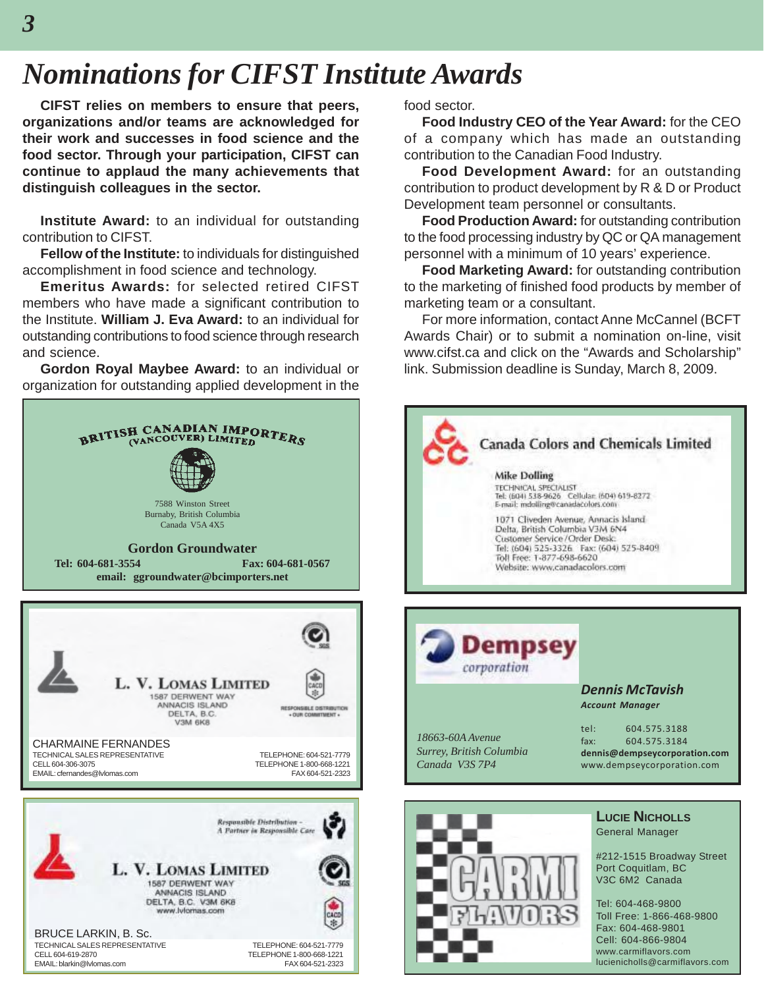## *Nominations for CIFST Institute Awards*

**CIFST relies on members to ensure that peers, organizations and/or teams are acknowledged for their work and successes in food science and the food sector. Through your participation, CIFST can continue to applaud the many achievements that distinguish colleagues in the sector.**

**Institute Award:** to an individual for outstanding contribution to CIFST.

**Fellow of the Institute:** to individuals for distinguished accomplishment in food science and technology.

**Emeritus Awards:** for selected retired CIFST members who have made a significant contribution to the Institute. **William J. Eva Award:** to an individual for outstanding contributions to food science through research and science.

**Gordon Royal Maybee Award:** to an individual or organization for outstanding applied development in the



food sector.

**Food Industry CEO of the Year Award:** for the CEO of a company which has made an outstanding contribution to the Canadian Food Industry.

**Food Development Award:** for an outstanding contribution to product development by R & D or Product Development team personnel or consultants.

**Food Production Award:** for outstanding contribution to the food processing industry by QC or QA management personnel with a minimum of 10 years' experience.

**Food Marketing Award:** for outstanding contribution to the marketing of finished food products by member of marketing team or a consultant.

For more information, contact Anne McCannel (BCFT Awards Chair) or to submit a nomination on-line, visit www.cifst.ca and click on the "Awards and Scholarship" link. Submission deadline is Sunday, March 8, 2009.

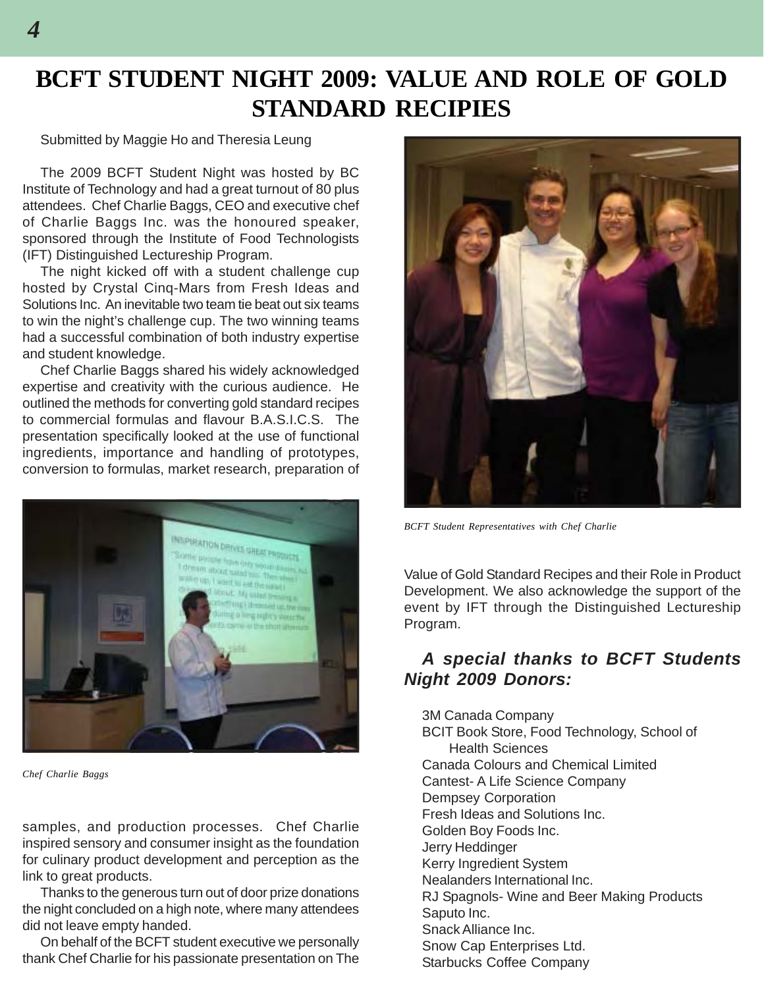### **BCFT STUDENT NIGHT 2009: VALUE AND ROLE OF GOLD STANDARD RECIPIES**

#### Submitted by Maggie Ho and Theresia Leung

The 2009 BCFT Student Night was hosted by BC Institute of Technology and had a great turnout of 80 plus attendees. Chef Charlie Baggs, CEO and executive chef of Charlie Baggs Inc. was the honoured speaker, sponsored through the Institute of Food Technologists (IFT) Distinguished Lectureship Program.

The night kicked off with a student challenge cup hosted by Crystal Cinq-Mars from Fresh Ideas and Solutions Inc. An inevitable two team tie beat out six teams to win the night's challenge cup. The two winning teams had a successful combination of both industry expertise and student knowledge.

Chef Charlie Baggs shared his widely acknowledged expertise and creativity with the curious audience. He outlined the methods for converting gold standard recipes to commercial formulas and flavour B.A.S.I.C.S. The presentation specifically looked at the use of functional ingredients, importance and handling of prototypes, conversion to formulas, market research, preparation of



*Chef Charlie Baggs*

samples, and production processes. Chef Charlie inspired sensory and consumer insight as the foundation for culinary product development and perception as the link to great products.

Thanks to the generous turn out of door prize donations the night concluded on a high note, where many attendees did not leave empty handed.

On behalf of the BCFT student executive we personally thank Chef Charlie for his passionate presentation on The



*BCFT Student Representatives with Chef Charlie*

Value of Gold Standard Recipes and their Role in Product Development. We also acknowledge the support of the event by IFT through the Distinguished Lectureship Program.

#### *A special thanks to BCFT Students Night 2009 Donors:*

3M Canada Company BCIT Book Store, Food Technology, School of Health Sciences Canada Colours and Chemical Limited Cantest- A Life Science Company Dempsey Corporation Fresh Ideas and Solutions Inc. Golden Boy Foods Inc. Jerry Heddinger Kerry Ingredient System Nealanders International Inc. RJ Spagnols- Wine and Beer Making Products Saputo Inc. Snack Alliance Inc. Snow Cap Enterprises Ltd. Starbucks Coffee Company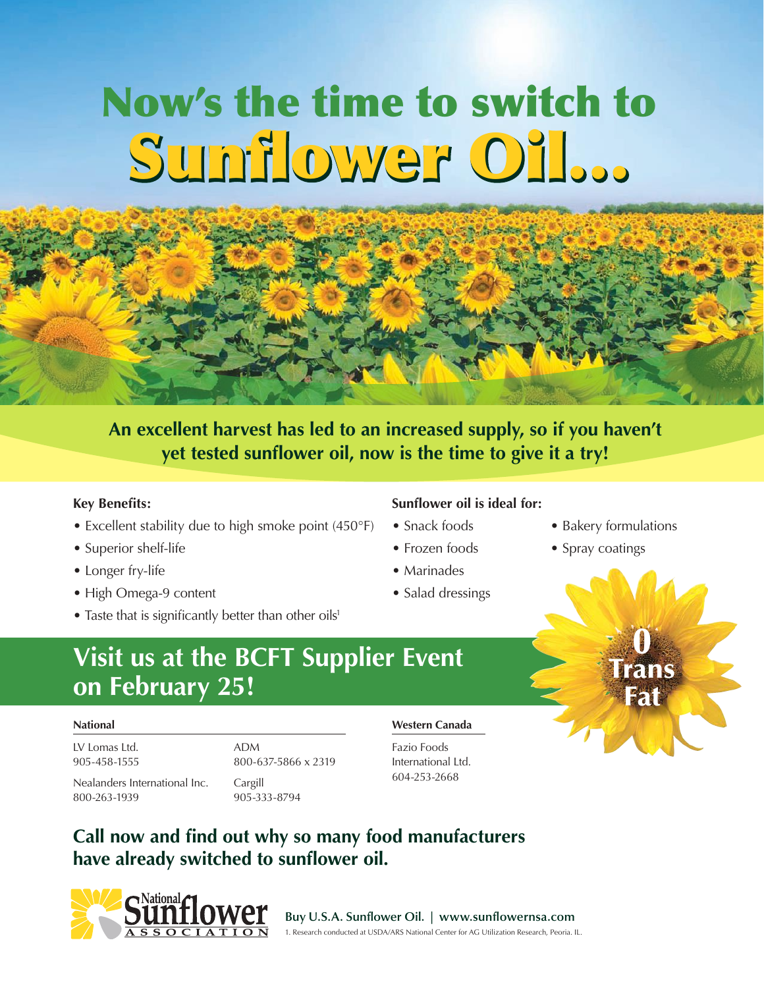# Sunflower Oil… Sunflower Oil… Now's the time to switch to

### **An excellent harvest has led to an increased supply, so if you haven't yet tested sunflower oil, now is the time to give it a try!**

#### **Key Benefits:**

- Excellent stability due to high smoke point (450°F)
- Superior shelf-life
- Longer fry-life
- High Omega-9 content
- Taste that is significantly better than other oils<sup>1</sup>

#### **Sunflower oil is ideal for:**

- 
- 
- Marinades
- Salad dressings
- Snack foods Bakery formulations

0

Trans **Fat** 

• Frozen foods • Spray coatings

## **Visit us at the BCFT Supplier Event on February 25!**

#### **National**

LV Lomas Ltd. 905-458-1555 ADM 800-637-5866 x 2319

Nealanders International Inc. 800-263-1939

Cargill 905-333-8794

#### **Western Canada**

Fazio Foods International Ltd. 604-253-2668





**Buy U.S.A. Sunflower Oil. | www.sunflowernsa.com** 1. Research conducted at USDA/ARS National Center for AG Utilization Research, Peoria. IL.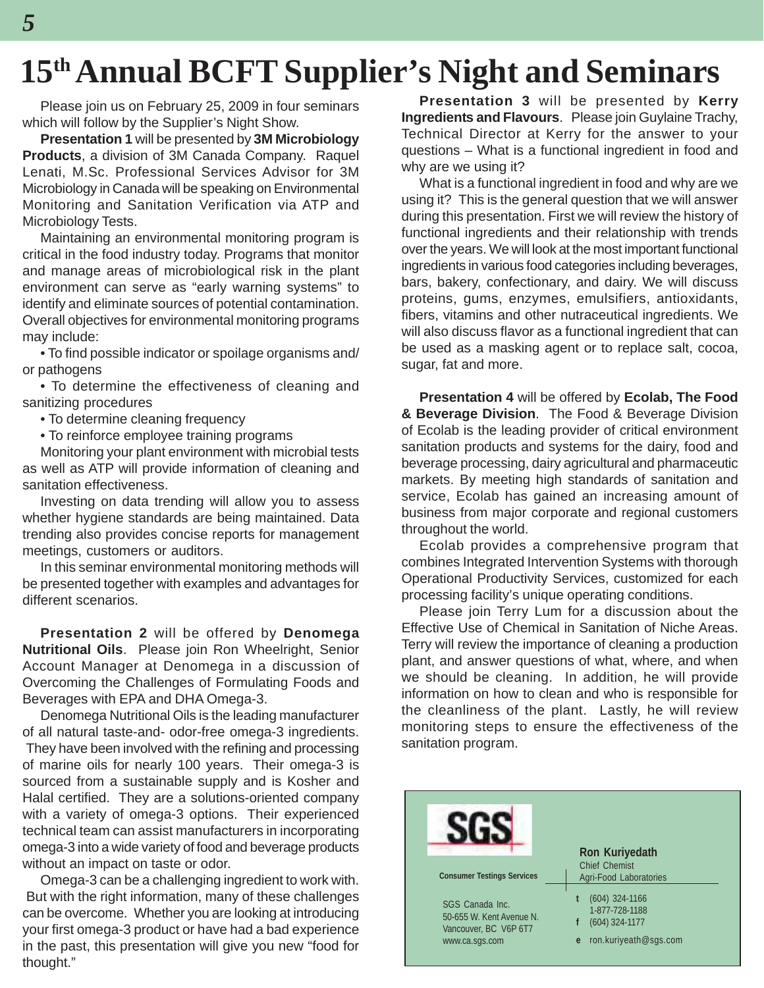# **15th Annual BCFT Supplier's Night and Seminars**

Please join us on February 25, 2009 in four seminars which will follow by the Supplier's Night Show.

**Presentation 1** will be presented by **3M Microbiology Products**, a division of 3M Canada Company. Raquel Lenati, M.Sc. Professional Services Advisor for 3M Microbiology in Canada will be speaking on Environmental Monitoring and Sanitation Verification via ATP and Microbiology Tests.

Maintaining an environmental monitoring program is critical in the food industry today. Programs that monitor and manage areas of microbiological risk in the plant environment can serve as "early warning systems" to identify and eliminate sources of potential contamination. Overall objectives for environmental monitoring programs may include:

• To find possible indicator or spoilage organisms and/ or pathogens

• To determine the effectiveness of cleaning and sanitizing procedures

- To determine cleaning frequency
- To reinforce employee training programs

Monitoring your plant environment with microbial tests as well as ATP will provide information of cleaning and sanitation effectiveness.

Investing on data trending will allow you to assess whether hygiene standards are being maintained. Data trending also provides concise reports for management meetings, customers or auditors.

In this seminar environmental monitoring methods will be presented together with examples and advantages for different scenarios.

**Presentation 2** will be offered by **Denomega Nutritional Oils**. Please join Ron Wheelright, Senior Account Manager at Denomega in a discussion of Overcoming the Challenges of Formulating Foods and Beverages with EPA and DHA Omega-3.

Denomega Nutritional Oils is the leading manufacturer of all natural taste-and- odor-free omega-3 ingredients. They have been involved with the refining and processing of marine oils for nearly 100 years. Their omega-3 is sourced from a sustainable supply and is Kosher and Halal certified. They are a solutions-oriented company with a variety of omega-3 options. Their experienced technical team can assist manufacturers in incorporating omega-3 into a wide variety of food and beverage products without an impact on taste or odor.

Omega-3 can be a challenging ingredient to work with. But with the right information, many of these challenges can be overcome. Whether you are looking at introducing your first omega-3 product or have had a bad experience in the past, this presentation will give you new "food for thought."

**Presentation 3** will be presented by **Kerry Ingredients and Flavours**. Please join Guylaine Trachy, Technical Director at Kerry for the answer to your questions – What is a functional ingredient in food and why are we using it?

What is a functional ingredient in food and why are we using it? This is the general question that we will answer during this presentation. First we will review the history of functional ingredients and their relationship with trends over the years. We will look at the most important functional ingredients in various food categories including beverages, bars, bakery, confectionary, and dairy. We will discuss proteins, gums, enzymes, emulsifiers, antioxidants, fibers, vitamins and other nutraceutical ingredients. We will also discuss flavor as a functional ingredient that can be used as a masking agent or to replace salt, cocoa, sugar, fat and more.

**Presentation 4** will be offered by **Ecolab, The Food & Beverage Division**. The Food & Beverage Division of Ecolab is the leading provider of critical environment sanitation products and systems for the dairy, food and beverage processing, dairy agricultural and pharmaceutic markets. By meeting high standards of sanitation and service, Ecolab has gained an increasing amount of business from major corporate and regional customers throughout the world.

Ecolab provides a comprehensive program that combines Integrated Intervention Systems with thorough Operational Productivity Services, customized for each processing facility's unique operating conditions.

Please join Terry Lum for a discussion about the Effective Use of Chemical in Sanitation of Niche Areas. Terry will review the importance of cleaning a production plant, and answer questions of what, where, and when we should be cleaning. In addition, he will provide information on how to clean and who is responsible for the cleanliness of the plant. Lastly, he will review monitoring steps to ensure the effectiveness of the sanitation program.

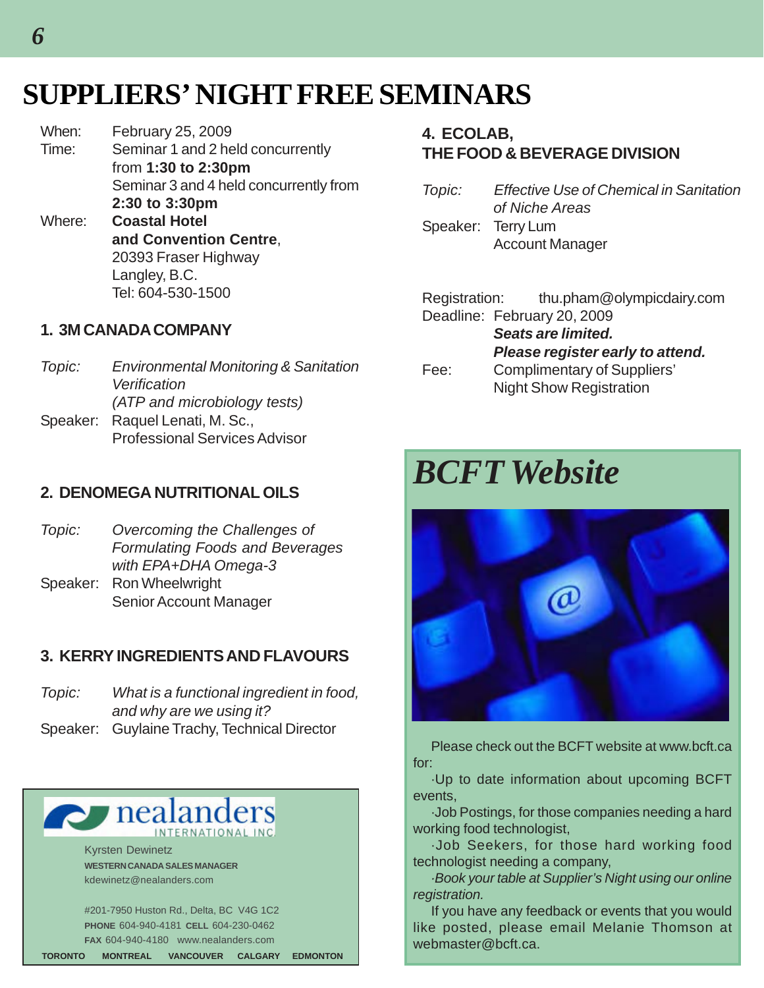## **SUPPLIERS' NIGHT FREE SEMINARS**

When: February 25, 2009 Time: Seminar 1 and 2 held concurrently from **1:30 to 2:30pm** Seminar 3 and 4 held concurrently from **2:30 to 3:30pm** Where: **Coastal Hotel and Convention Centre**, 20393 Fraser Highway Langley, B.C. Tel: 604-530-1500

#### **1. 3M CANADA COMPANY**

*Topic: Environmental Monitoring & Sanitation Verification (ATP and microbiology tests)* Speaker: Raquel Lenati, M. Sc., Professional Services Advisor

#### **2. DENOMEGA NUTRITIONAL OILS**

- *Topic: Overcoming the Challenges of Formulating Foods and Beverages with EPA+DHA Omega-3* Speaker: Ron Wheelwright
- Senior Account Manager

#### **3. KERRY INGREDIENTS AND FLAVOURS**

| Topic: | What is a functional ingredient in food,     |
|--------|----------------------------------------------|
|        | and why are we using it?                     |
|        | Speaker: Guylaine Trachy, Technical Director |

### **P** nealand INTERNATIONAL INC

Kyrsten Dewinetz **WESTERN CANADA SALES MANAGER** kdewinetz@nealanders.com

#201-7950 Huston Rd., Delta, BC V4G 1C2 **PHONE** 604-940-4181 **CELL** 604-230-0462 **FAX** 604-940-4180 www.nealanders.com **TORONTO MONTREAL VANCOUVER CALGARY EDMONTON**

#### **4. ECOLAB, THE FOOD & BEVERAGE DIVISION**

| Topic: | <b>Effective Use of Chemical in Sanitation</b> |
|--------|------------------------------------------------|
|        | of Niche Areas                                 |
|        | Speaker: Terry Lum                             |
|        | <b>Account Manager</b>                         |

|                           | Registration: thu.pham@olympicdairy.com |
|---------------------------|-----------------------------------------|
|                           | Deadline: February 20, 2009             |
| <b>Seats are limited.</b> |                                         |
|                           | Please register early to attend.        |
| Fee:                      | Complimentary of Suppliers'             |
|                           | <b>Night Show Registration</b>          |

# *BCFT Website*



Please check out the BCFT website at www.bcft.ca for:

·Up to date information about upcoming BCFT events,

·Job Postings, for those companies needing a hard working food technologist,

·Job Seekers, for those hard working food technologist needing a company,

*·Book your table at Supplier's Night using our online registration.*

If you have any feedback or events that you would like posted, please email Melanie Thomson at webmaster@bcft.ca